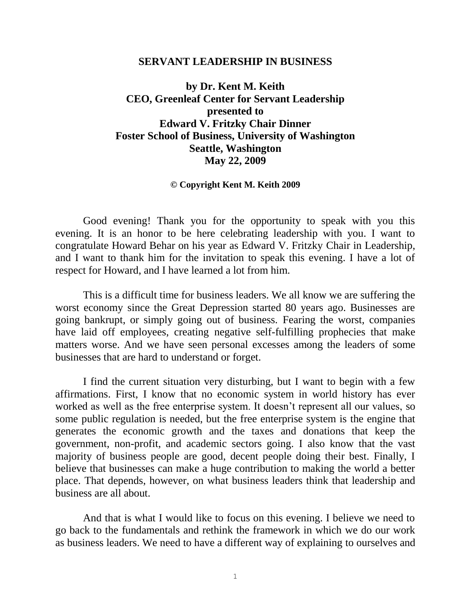#### **SERVANT LEADERSHIP IN BUSINESS**

**by Dr. Kent M. Keith CEO, Greenleaf Center for Servant Leadership presented to Edward V. Fritzky Chair Dinner Foster School of Business, University of Washington Seattle, Washington May 22, 2009**

#### **© Copyright Kent M. Keith 2009**

Good evening! Thank you for the opportunity to speak with you this evening. It is an honor to be here celebrating leadership with you. I want to congratulate Howard Behar on his year as Edward V. Fritzky Chair in Leadership, and I want to thank him for the invitation to speak this evening. I have a lot of respect for Howard, and I have learned a lot from him.

This is a difficult time for business leaders. We all know we are suffering the worst economy since the Great Depression started 80 years ago. Businesses are going bankrupt, or simply going out of business. Fearing the worst, companies have laid off employees, creating negative self-fulfilling prophecies that make matters worse. And we have seen personal excesses among the leaders of some businesses that are hard to understand or forget.

I find the current situation very disturbing, but I want to begin with a few affirmations. First, I know that no economic system in world history has ever worked as well as the free enterprise system. It doesn't represent all our values, so some public regulation is needed, but the free enterprise system is the engine that generates the economic growth and the taxes and donations that keep the government, non-profit, and academic sectors going. I also know that the vast majority of business people are good, decent people doing their best. Finally, I believe that businesses can make a huge contribution to making the world a better place. That depends, however, on what business leaders think that leadership and business are all about.

And that is what I would like to focus on this evening. I believe we need to go back to the fundamentals and rethink the framework in which we do our work as business leaders. We need to have a different way of explaining to ourselves and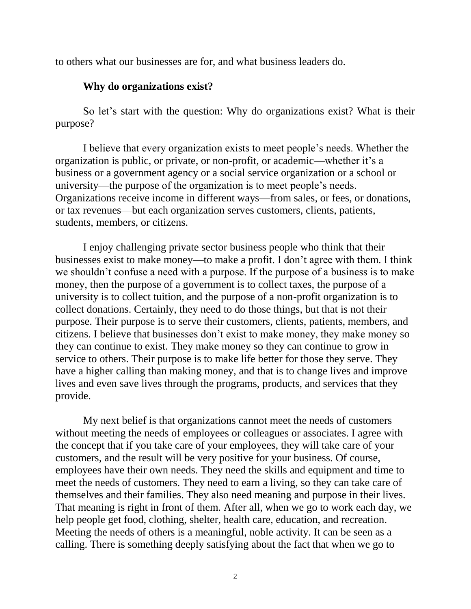to others what our businesses are for, and what business leaders do.

# **Why do organizations exist?**

So let's start with the question: Why do organizations exist? What is their purpose?

I believe that every organization exists to meet people's needs. Whether the organization is public, or private, or non-profit, or academic—whether it's a business or a government agency or a social service organization or a school or university—the purpose of the organization is to meet people's needs. Organizations receive income in different ways—from sales, or fees, or donations, or tax revenues—but each organization serves customers, clients, patients, students, members, or citizens.

I enjoy challenging private sector business people who think that their businesses exist to make money—to make a profit. I don't agree with them. I think we shouldn't confuse a need with a purpose. If the purpose of a business is to make money, then the purpose of a government is to collect taxes, the purpose of a university is to collect tuition, and the purpose of a non-profit organization is to collect donations. Certainly, they need to do those things, but that is not their purpose. Their purpose is to serve their customers, clients, patients, members, and citizens. I believe that businesses don't exist to make money, they make money so they can continue to exist. They make money so they can continue to grow in service to others. Their purpose is to make life better for those they serve. They have a higher calling than making money, and that is to change lives and improve lives and even save lives through the programs, products, and services that they provide.

My next belief is that organizations cannot meet the needs of customers without meeting the needs of employees or colleagues or associates. I agree with the concept that if you take care of your employees, they will take care of your customers, and the result will be very positive for your business. Of course, employees have their own needs. They need the skills and equipment and time to meet the needs of customers. They need to earn a living, so they can take care of themselves and their families. They also need meaning and purpose in their lives. That meaning is right in front of them. After all, when we go to work each day, we help people get food, clothing, shelter, health care, education, and recreation. Meeting the needs of others is a meaningful, noble activity. It can be seen as a calling. There is something deeply satisfying about the fact that when we go to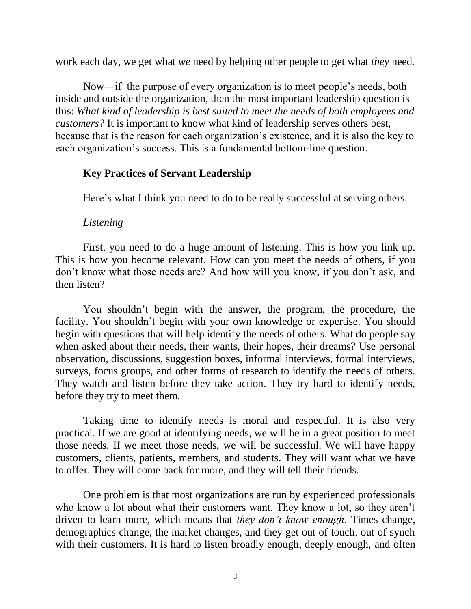work each day, we get what *we* need by helping other people to get what *they* need.

Now—if the purpose of every organization is to meet people's needs, both inside and outside the organization, then the most important leadership question is this: *What kind of leadership is best suited to meet the needs of both employees and customers?* It is important to know what kind of leadership serves others best, because that is the reason for each organization's existence, and it is also the key to each organization's success. This is a fundamental bottom-line question.

# **Key Practices of Servant Leadership**

Here's what I think you need to do to be really successful at serving others.

# *Listening*

First, you need to do a huge amount of listening. This is how you link up. This is how you become relevant. How can you meet the needs of others, if you don't know what those needs are? And how will you know, if you don't ask, and then listen?

You shouldn't begin with the answer, the program, the procedure, the facility. You shouldn't begin with your own knowledge or expertise. You should begin with questions that will help identify the needs of others. What do people say when asked about their needs, their wants, their hopes, their dreams? Use personal observation, discussions, suggestion boxes, informal interviews, formal interviews, surveys, focus groups, and other forms of research to identify the needs of others. They watch and listen before they take action. They try hard to identify needs, before they try to meet them.

Taking time to identify needs is moral and respectful. It is also very practical. If we are good at identifying needs, we will be in a great position to meet those needs. If we meet those needs, we will be successful. We will have happy customers, clients, patients, members, and students. They will want what we have to offer. They will come back for more, and they will tell their friends.

One problem is that most organizations are run by experienced professionals who know a lot about what their customers want. They know a lot, so they aren't driven to learn more, which means that *they don't know enough*. Times change, demographics change, the market changes, and they get out of touch, out of synch with their customers. It is hard to listen broadly enough, deeply enough, and often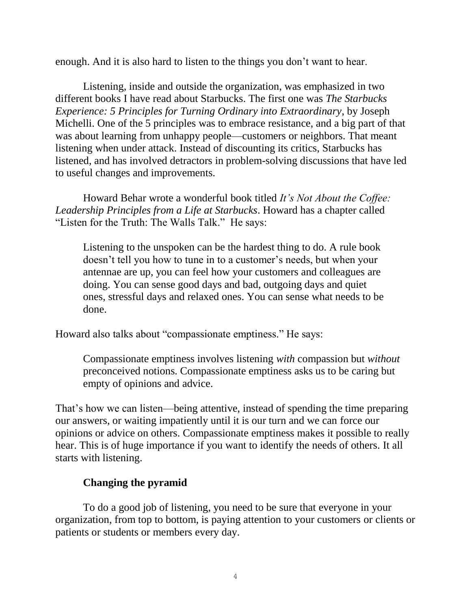enough. And it is also hard to listen to the things you don't want to hear.

Listening, inside and outside the organization, was emphasized in two different books I have read about Starbucks. The first one was *The Starbucks Experience: 5 Principles for Turning Ordinary into Extraordinary*, by Joseph Michelli. One of the 5 principles was to embrace resistance, and a big part of that was about learning from unhappy people—customers or neighbors. That meant listening when under attack. Instead of discounting its critics, Starbucks has listened, and has involved detractors in problem-solving discussions that have led to useful changes and improvements.

Howard Behar wrote a wonderful book titled *It's Not About the Coffee: Leadership Principles from a Life at Starbucks*. Howard has a chapter called "Listen for the Truth: The Walls Talk." He says:

Listening to the unspoken can be the hardest thing to do. A rule book doesn't tell you how to tune in to a customer's needs, but when your antennae are up, you can feel how your customers and colleagues are doing. You can sense good days and bad, outgoing days and quiet ones, stressful days and relaxed ones. You can sense what needs to be done.

Howard also talks about "compassionate emptiness." He says:

Compassionate emptiness involves listening *with* compassion but *without* preconceived notions. Compassionate emptiness asks us to be caring but empty of opinions and advice.

That's how we can listen—being attentive, instead of spending the time preparing our answers, or waiting impatiently until it is our turn and we can force our opinions or advice on others. Compassionate emptiness makes it possible to really hear. This is of huge importance if you want to identify the needs of others. It all starts with listening.

# **Changing the pyramid**

To do a good job of listening, you need to be sure that everyone in your organization, from top to bottom, is paying attention to your customers or clients or patients or students or members every day.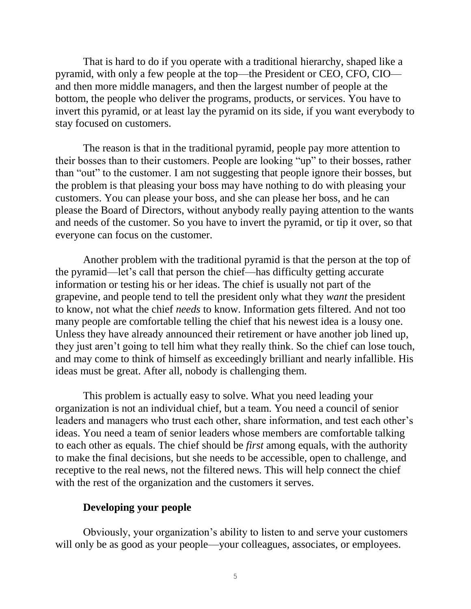That is hard to do if you operate with a traditional hierarchy, shaped like a pyramid, with only a few people at the top—the President or CEO, CFO, CIO and then more middle managers, and then the largest number of people at the bottom, the people who deliver the programs, products, or services. You have to invert this pyramid, or at least lay the pyramid on its side, if you want everybody to stay focused on customers.

The reason is that in the traditional pyramid, people pay more attention to their bosses than to their customers. People are looking "up" to their bosses, rather than "out" to the customer. I am not suggesting that people ignore their bosses, but the problem is that pleasing your boss may have nothing to do with pleasing your customers. You can please your boss, and she can please her boss, and he can please the Board of Directors, without anybody really paying attention to the wants and needs of the customer. So you have to invert the pyramid, or tip it over, so that everyone can focus on the customer.

Another problem with the traditional pyramid is that the person at the top of the pyramid—let's call that person the chief—has difficulty getting accurate information or testing his or her ideas. The chief is usually not part of the grapevine, and people tend to tell the president only what they *want* the president to know, not what the chief *needs* to know. Information gets filtered. And not too many people are comfortable telling the chief that his newest idea is a lousy one. Unless they have already announced their retirement or have another job lined up, they just aren't going to tell him what they really think. So the chief can lose touch, and may come to think of himself as exceedingly brilliant and nearly infallible. His ideas must be great. After all, nobody is challenging them.

This problem is actually easy to solve. What you need leading your organization is not an individual chief, but a team. You need a council of senior leaders and managers who trust each other, share information, and test each other's ideas. You need a team of senior leaders whose members are comfortable talking to each other as equals. The chief should be *first* among equals, with the authority to make the final decisions, but she needs to be accessible, open to challenge, and receptive to the real news, not the filtered news. This will help connect the chief with the rest of the organization and the customers it serves.

## **Developing your people**

Obviously, your organization's ability to listen to and serve your customers will only be as good as your people—your colleagues, associates, or employees.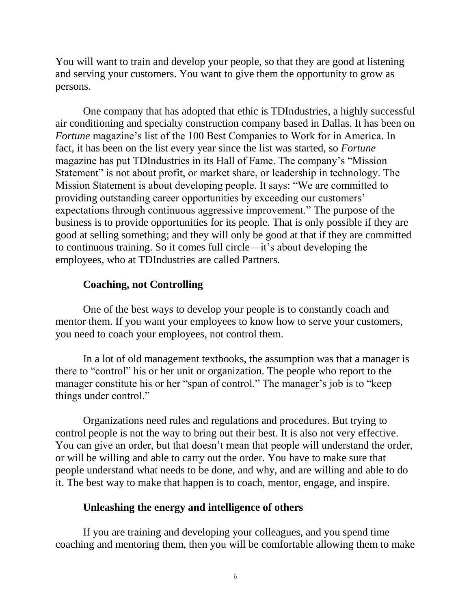You will want to train and develop your people, so that they are good at listening and serving your customers. You want to give them the opportunity to grow as persons.

One company that has adopted that ethic is TDIndustries, a highly successful air conditioning and specialty construction company based in Dallas. It has been on *Fortune* magazine's list of the 100 Best Companies to Work for in America. In fact, it has been on the list every year since the list was started, so *Fortune* magazine has put TDIndustries in its Hall of Fame. The company's "Mission Statement" is not about profit, or market share, or leadership in technology. The Mission Statement is about developing people. It says: "We are committed to providing outstanding career opportunities by exceeding our customers' expectations through continuous aggressive improvement." The purpose of the business is to provide opportunities for its people. That is only possible if they are good at selling something; and they will only be good at that if they are committed to continuous training. So it comes full circle—it's about developing the employees, who at TDIndustries are called Partners.

# **Coaching, not Controlling**

One of the best ways to develop your people is to constantly coach and mentor them. If you want your employees to know how to serve your customers, you need to coach your employees, not control them.

In a lot of old management textbooks, the assumption was that a manager is there to "control" his or her unit or organization. The people who report to the manager constitute his or her "span of control." The manager's job is to "keep things under control."

Organizations need rules and regulations and procedures. But trying to control people is not the way to bring out their best. It is also not very effective. You can give an order, but that doesn't mean that people will understand the order, or will be willing and able to carry out the order. You have to make sure that people understand what needs to be done, and why, and are willing and able to do it. The best way to make that happen is to coach, mentor, engage, and inspire.

#### **Unleashing the energy and intelligence of others**

If you are training and developing your colleagues, and you spend time coaching and mentoring them, then you will be comfortable allowing them to make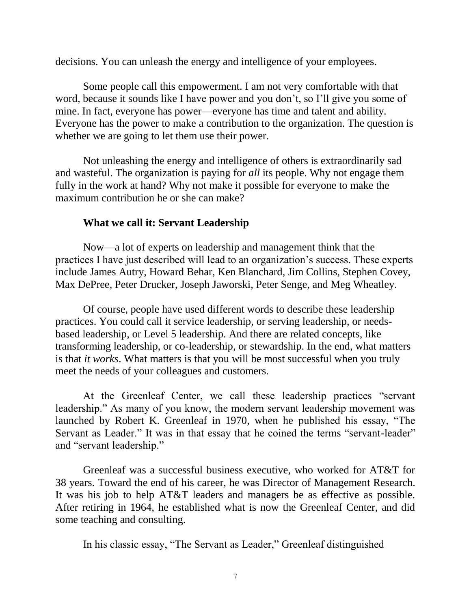decisions. You can unleash the energy and intelligence of your employees.

Some people call this empowerment. I am not very comfortable with that word, because it sounds like I have power and you don't, so I'll give you some of mine. In fact, everyone has power—everyone has time and talent and ability. Everyone has the power to make a contribution to the organization. The question is whether we are going to let them use their power.

Not unleashing the energy and intelligence of others is extraordinarily sad and wasteful. The organization is paying for *all* its people. Why not engage them fully in the work at hand? Why not make it possible for everyone to make the maximum contribution he or she can make?

## **What we call it: Servant Leadership**

Now—a lot of experts on leadership and management think that the practices I have just described will lead to an organization's success. These experts include James Autry, Howard Behar, Ken Blanchard, Jim Collins, Stephen Covey, Max DePree, Peter Drucker, Joseph Jaworski, Peter Senge, and Meg Wheatley.

Of course, people have used different words to describe these leadership practices. You could call it service leadership, or serving leadership, or needsbased leadership, or Level 5 leadership. And there are related concepts, like transforming leadership, or co-leadership, or stewardship. In the end, what matters is that *it works*. What matters is that you will be most successful when you truly meet the needs of your colleagues and customers.

At the Greenleaf Center, we call these leadership practices "servant leadership." As many of you know, the modern servant leadership movement was launched by Robert K. Greenleaf in 1970, when he published his essay, "The Servant as Leader." It was in that essay that he coined the terms "servant-leader" and "servant leadership."

Greenleaf was a successful business executive, who worked for AT&T for 38 years. Toward the end of his career, he was Director of Management Research. It was his job to help AT&T leaders and managers be as effective as possible. After retiring in 1964, he established what is now the Greenleaf Center, and did some teaching and consulting.

In his classic essay, "The Servant as Leader," Greenleaf distinguished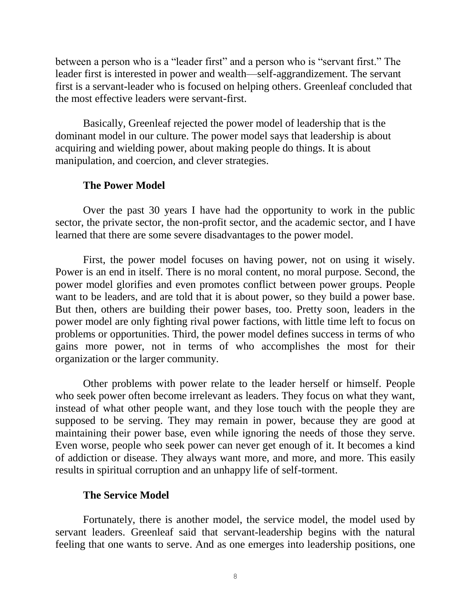between a person who is a "leader first" and a person who is "servant first." The leader first is interested in power and wealth—self-aggrandizement. The servant first is a servant-leader who is focused on helping others. Greenleaf concluded that the most effective leaders were servant-first.

Basically, Greenleaf rejected the power model of leadership that is the dominant model in our culture. The power model says that leadership is about acquiring and wielding power, about making people do things. It is about manipulation, and coercion, and clever strategies.

#### **The Power Model**

Over the past 30 years I have had the opportunity to work in the public sector, the private sector, the non-profit sector, and the academic sector, and I have learned that there are some severe disadvantages to the power model.

First, the power model focuses on having power, not on using it wisely. Power is an end in itself. There is no moral content, no moral purpose. Second, the power model glorifies and even promotes conflict between power groups. People want to be leaders, and are told that it is about power, so they build a power base. But then, others are building their power bases, too. Pretty soon, leaders in the power model are only fighting rival power factions, with little time left to focus on problems or opportunities. Third, the power model defines success in terms of who gains more power, not in terms of who accomplishes the most for their organization or the larger community.

Other problems with power relate to the leader herself or himself. People who seek power often become irrelevant as leaders. They focus on what they want, instead of what other people want, and they lose touch with the people they are supposed to be serving. They may remain in power, because they are good at maintaining their power base, even while ignoring the needs of those they serve. Even worse, people who seek power can never get enough of it. It becomes a kind of addiction or disease. They always want more, and more, and more. This easily results in spiritual corruption and an unhappy life of self-torment.

#### **The Service Model**

Fortunately, there is another model, the service model, the model used by servant leaders. Greenleaf said that servant-leadership begins with the natural feeling that one wants to serve. And as one emerges into leadership positions, one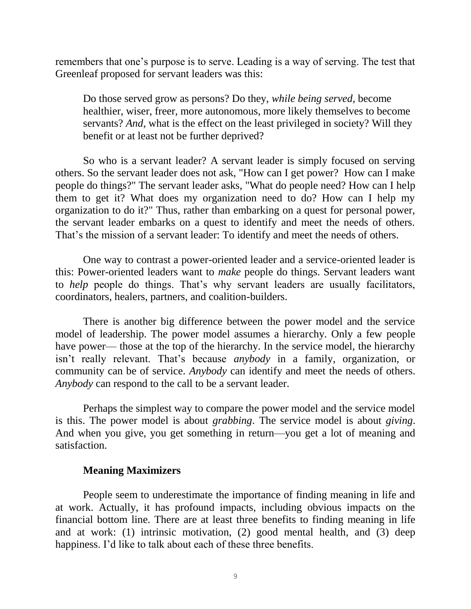remembers that one's purpose is to serve. Leading is a way of serving. The test that Greenleaf proposed for servant leaders was this:

Do those served grow as persons? Do they, *while being served*, become healthier, wiser, freer, more autonomous, more likely themselves to become servants? *And*, what is the effect on the least privileged in society? Will they benefit or at least not be further deprived?

So who is a servant leader? A servant leader is simply focused on serving others. So the servant leader does not ask, "How can I get power? How can I make people do things?" The servant leader asks, "What do people need? How can I help them to get it? What does my organization need to do? How can I help my organization to do it?" Thus, rather than embarking on a quest for personal power, the servant leader embarks on a quest to identify and meet the needs of others. That's the mission of a servant leader: To identify and meet the needs of others.

One way to contrast a power-oriented leader and a service-oriented leader is this: Power-oriented leaders want to *make* people do things. Servant leaders want to *help* people do things. That's why servant leaders are usually facilitators, coordinators, healers, partners, and coalition-builders.

There is another big difference between the power model and the service model of leadership. The power model assumes a hierarchy. Only a few people have power— those at the top of the hierarchy. In the service model, the hierarchy isn't really relevant. That's because *anybody* in a family, organization, or community can be of service. *Anybody* can identify and meet the needs of others. *Anybody* can respond to the call to be a servant leader.

Perhaps the simplest way to compare the power model and the service model is this. The power model is about *grabbing*. The service model is about *giving*. And when you give, you get something in return—you get a lot of meaning and satisfaction.

## **Meaning Maximizers**

People seem to underestimate the importance of finding meaning in life and at work. Actually, it has profound impacts, including obvious impacts on the financial bottom line. There are at least three benefits to finding meaning in life and at work: (1) intrinsic motivation, (2) good mental health, and (3) deep happiness. I'd like to talk about each of these three benefits.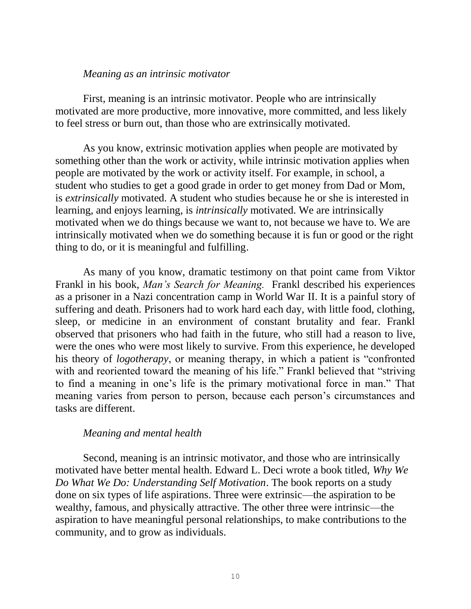#### *Meaning as an intrinsic motivator*

First, meaning is an intrinsic motivator. People who are intrinsically motivated are more productive, more innovative, more committed, and less likely to feel stress or burn out, than those who are extrinsically motivated.

As you know, extrinsic motivation applies when people are motivated by something other than the work or activity, while intrinsic motivation applies when people are motivated by the work or activity itself. For example, in school, a student who studies to get a good grade in order to get money from Dad or Mom, is *extrinsically* motivated. A student who studies because he or she is interested in learning, and enjoys learning, is *intrinsically* motivated. We are intrinsically motivated when we do things because we want to, not because we have to. We are intrinsically motivated when we do something because it is fun or good or the right thing to do, or it is meaningful and fulfilling.

As many of you know, dramatic testimony on that point came from Viktor Frankl in his book, *Man's Search for Meaning.* Frankl described his experiences as a prisoner in a Nazi concentration camp in World War II. It is a painful story of suffering and death. Prisoners had to work hard each day, with little food, clothing, sleep, or medicine in an environment of constant brutality and fear. Frankl observed that prisoners who had faith in the future, who still had a reason to live, were the ones who were most likely to survive. From this experience, he developed his theory of *logotherapy*, or meaning therapy, in which a patient is "confronted with and reoriented toward the meaning of his life." Frankl believed that "striving to find a meaning in one's life is the primary motivational force in man." That meaning varies from person to person, because each person's circumstances and tasks are different.

## *Meaning and mental health*

Second, meaning is an intrinsic motivator, and those who are intrinsically motivated have better mental health. Edward L. Deci wrote a book titled, *Why We Do What We Do: Understanding Self Motivation*. The book reports on a study done on six types of life aspirations. Three were extrinsic—the aspiration to be wealthy, famous, and physically attractive. The other three were intrinsic—the aspiration to have meaningful personal relationships, to make contributions to the community, and to grow as individuals.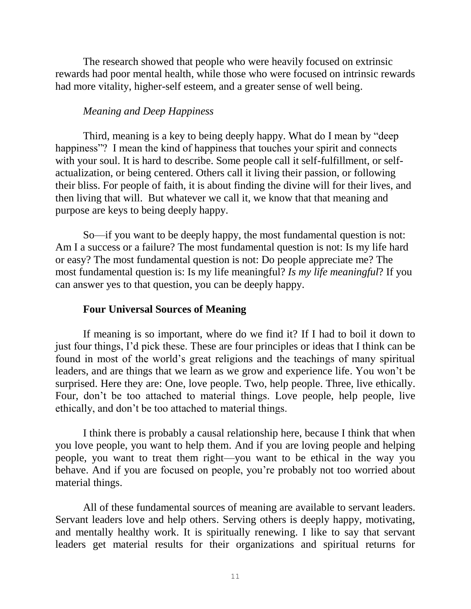The research showed that people who were heavily focused on extrinsic rewards had poor mental health, while those who were focused on intrinsic rewards had more vitality, higher-self esteem, and a greater sense of well being.

# *Meaning and Deep Happiness*

Third, meaning is a key to being deeply happy. What do I mean by "deep happiness"? I mean the kind of happiness that touches your spirit and connects with your soul. It is hard to describe. Some people call it self-fulfillment, or selfactualization, or being centered. Others call it living their passion, or following their bliss. For people of faith, it is about finding the divine will for their lives, and then living that will. But whatever we call it, we know that that meaning and purpose are keys to being deeply happy.

So—if you want to be deeply happy, the most fundamental question is not: Am I a success or a failure? The most fundamental question is not: Is my life hard or easy? The most fundamental question is not: Do people appreciate me? The most fundamental question is: Is my life meaningful? *Is my life meaningful*? If you can answer yes to that question, you can be deeply happy.

## **Four Universal Sources of Meaning**

If meaning is so important, where do we find it? If I had to boil it down to just four things, I'd pick these. These are four principles or ideas that I think can be found in most of the world's great religions and the teachings of many spiritual leaders, and are things that we learn as we grow and experience life. You won't be surprised. Here they are: One, love people. Two, help people. Three, live ethically. Four, don't be too attached to material things. Love people, help people, live ethically, and don't be too attached to material things.

I think there is probably a causal relationship here, because I think that when you love people, you want to help them. And if you are loving people and helping people, you want to treat them right—you want to be ethical in the way you behave. And if you are focused on people, you're probably not too worried about material things.

All of these fundamental sources of meaning are available to servant leaders. Servant leaders love and help others. Serving others is deeply happy, motivating, and mentally healthy work. It is spiritually renewing. I like to say that servant leaders get material results for their organizations and spiritual returns for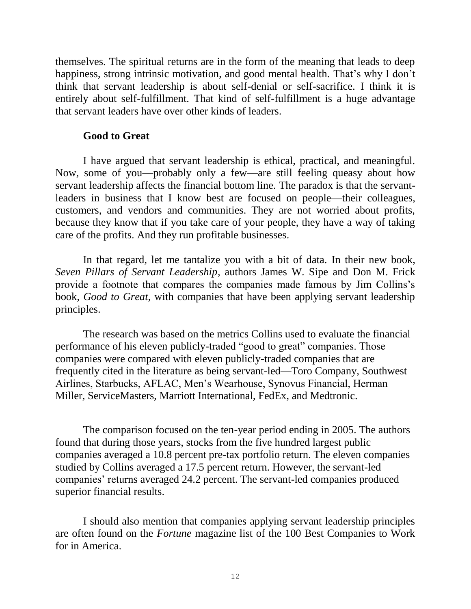themselves. The spiritual returns are in the form of the meaning that leads to deep happiness, strong intrinsic motivation, and good mental health. That's why I don't think that servant leadership is about self-denial or self-sacrifice. I think it is entirely about self-fulfillment. That kind of self-fulfillment is a huge advantage that servant leaders have over other kinds of leaders.

## **Good to Great**

I have argued that servant leadership is ethical, practical, and meaningful. Now, some of you—probably only a few—are still feeling queasy about how servant leadership affects the financial bottom line. The paradox is that the servantleaders in business that I know best are focused on people—their colleagues, customers, and vendors and communities. They are not worried about profits, because they know that if you take care of your people, they have a way of taking care of the profits. And they run profitable businesses.

In that regard, let me tantalize you with a bit of data. In their new book, *Seven Pillars of Servant Leadership*, authors James W. Sipe and Don M. Frick provide a footnote that compares the companies made famous by Jim Collins's book, *Good to Great*, with companies that have been applying servant leadership principles.

The research was based on the metrics Collins used to evaluate the financial performance of his eleven publicly-traded "good to great" companies. Those companies were compared with eleven publicly-traded companies that are frequently cited in the literature as being servant-led—Toro Company, Southwest Airlines, Starbucks, AFLAC, Men's Wearhouse, Synovus Financial, Herman Miller, ServiceMasters, Marriott International, FedEx, and Medtronic.

The comparison focused on the ten-year period ending in 2005. The authors found that during those years, stocks from the five hundred largest public companies averaged a 10.8 percent pre-tax portfolio return. The eleven companies studied by Collins averaged a 17.5 percent return. However, the servant-led companies' returns averaged 24.2 percent. The servant-led companies produced superior financial results.

I should also mention that companies applying servant leadership principles are often found on the *Fortune* magazine list of the 100 Best Companies to Work for in America.